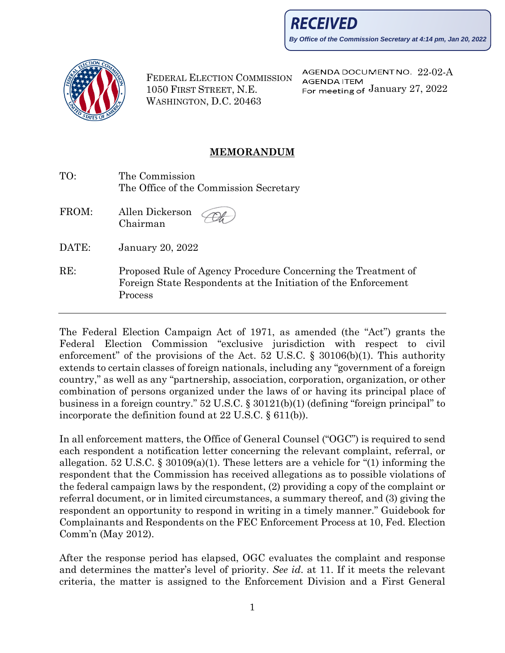RECEIVED

**By Office of the Commission Secretary at 4:14 pm, Jan 20, 2022**



Process

FEDERAL ELECTION COMMISSION 1050 FIRST STREET, N.E. WASHINGTON, D.C. 20463

AGENDA DOCUMENT NO. 22-02-A **AGENDA ITEM** For meeting of January 27, 2022

## **MEMORANDUM**

| TO:   | The Commission<br>The Office of the Commission Secretary                                                                        |
|-------|---------------------------------------------------------------------------------------------------------------------------------|
| FROM: | Allen Dickerson<br>Chairman                                                                                                     |
| DATE: | January 20, 2022                                                                                                                |
| RE:   | Proposed Rule of Agency Procedure Concerning the Treatment of<br>Foreign State Respondents at the Initiation of the Enforcement |

The Federal Election Campaign Act of 1971, as amended (the "Act") grants the Federal Election Commission "exclusive jurisdiction with respect to civil enforcement" of the provisions of the Act. 52 U.S.C. § 30106(b)(1). This authority extends to certain classes of foreign nationals, including any "government of a foreign country," as well as any "partnership, association, corporation, organization, or other combination of persons organized under the laws of or having its principal place of business in a foreign country." 52 U.S.C. § 30121(b)(1) (defining "foreign principal" to incorporate the definition found at 22 U.S.C. § 611(b)).

In all enforcement matters, the Office of General Counsel ("OGC") is required to send each respondent a notification letter concerning the relevant complaint, referral, or allegation. [52 U.S.C. § 30109\(a\)\(1\).](https://www.govinfo.gov/link/uscode/52/30109) These letters are a vehicle for "(1) informing the respondent that the Commission has received allegations as to possible violations of the federal campaign laws by the respondent, (2) providing a copy of the complaint or referral document, or in limited circumstances, a summary thereof, and (3) giving the respondent an opportunity to respond in writing in a timely manner." Guidebook for Complainants and Respondents on the FEC Enforcement Process at 10, Fed. Election Comm'n (May 2012).

After the response period has elapsed, OGC evaluates the complaint and response and determines the matter's level of priority. *See id*. at 11. If it meets the relevant criteria, the matter is assigned to the Enforcement Division and a First General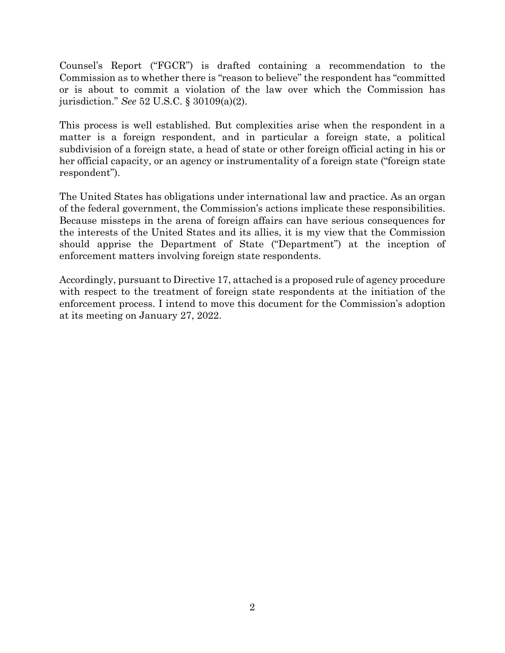Counsel's Report ("FGCR") is drafted containing a recommendation to the Commission as to whether there is "reason to believe" the respondent has "committed or is about to commit a violation of the law over which the Commission has jurisdiction." *See* 52 U.S.C. § [30109\(a\)\(2\).](https://www.govinfo.gov/link/uscode/52/30109)

This process is well established. But complexities arise when the respondent in a matter is a foreign respondent, and in particular a foreign state, a political subdivision of a foreign state, a head of state or other foreign official acting in his or her official capacity, or an agency or instrumentality of a foreign state ("foreign state respondent").

The United States has obligations under international law and practice. As an organ of the federal government, the Commission's actions implicate these responsibilities. Because missteps in the arena of foreign affairs can have serious consequences for the interests of the United States and its allies, it is my view that the Commission should apprise the Department of State ("Department") at the inception of enforcement matters involving foreign state respondents.

Accordingly, pursuant to Directive 17, attached is a proposed rule of agency procedure with respect to the treatment of foreign state respondents at the initiation of the enforcement process. I intend to move this document for the Commission's adoption at its meeting on January 27, 2022.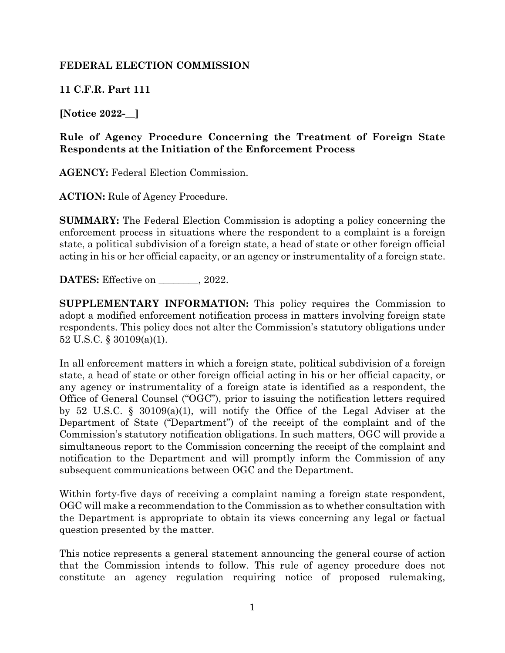## **FEDERAL ELECTION COMMISSION**

**11 C.F.R. Part 111**

**[Notice 2022-\_\_]**

## **Rule of Agency Procedure Concerning the Treatment of Foreign State Respondents at the Initiation of the Enforcement Process**

**AGENCY:** Federal Election Commission.

**ACTION:** Rule of Agency Procedure.

**SUMMARY:** The Federal Election Commission is adopting a policy concerning the enforcement process in situations where the respondent to a complaint is a foreign state, a political subdivision of a foreign state, a head of state or other foreign official acting in his or her official capacity, or an agency or instrumentality of a foreign state.

**DATES:** Effective on  $\qquad \qquad$ , 2022.

**SUPPLEMENTARY INFORMATION:** This policy requires the Commission to adopt a modified enforcement notification process in matters involving foreign state respondents. This policy does not alter the Commission's statutory obligations under 52 U.S.C. § [30109\(a\)\(1\).](https://www.govinfo.gov/link/uscode/52/30109)

In all enforcement matters in which a foreign state, political subdivision of a foreign state, a head of state or other foreign official acting in his or her official capacity, or any agency or instrumentality of a foreign state is identified as a respondent, the Office of General Counsel ("OGC"), prior to issuing the notification letters required by [52 U.S.C. §](https://www.govinfo.gov/link/uscode/52/30109) 30109(a)(1), will notify the Office of the Legal Adviser at the Department of State ("Department") of the receipt of the complaint and of the Commission's statutory notification obligations. In such matters, OGC will provide a simultaneous report to the Commission concerning the receipt of the complaint and notification to the Department and will promptly inform the Commission of any subsequent communications between OGC and the Department.

Within forty-five days of receiving a complaint naming a foreign state respondent, OGC will make a recommendation to the Commission as to whether consultation with the Department is appropriate to obtain its views concerning any legal or factual question presented by the matter.

This notice represents a general statement announcing the general course of action that the Commission intends to follow. This rule of agency procedure does not constitute an agency regulation requiring notice of proposed rulemaking,